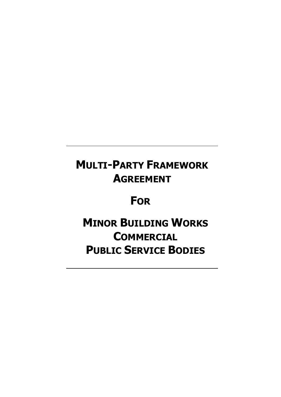## MULTI-PARTY FRAMEWORK AGREEMENT

## **FOR**

# **MINOR BUILDING WORKS COMMERCIAL** PUBLIC SERVICE BODIES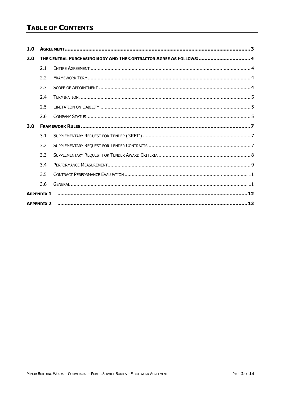## **TABLE OF CONTENTS**

| 1.0                                                                        |                   |  |  |
|----------------------------------------------------------------------------|-------------------|--|--|
| THE CENTRAL PURCHASING BODY AND THE CONTRACTOR AGREE AS FOLLOWS:  4<br>2.0 |                   |  |  |
|                                                                            | 2.1               |  |  |
|                                                                            | 2.2               |  |  |
|                                                                            | 2.3               |  |  |
|                                                                            | 2.4               |  |  |
|                                                                            | 2.5               |  |  |
|                                                                            | 2.6               |  |  |
| 3.0                                                                        |                   |  |  |
|                                                                            | 3.1               |  |  |
|                                                                            | 3.2               |  |  |
|                                                                            | 3.3               |  |  |
|                                                                            | 3.4               |  |  |
|                                                                            | 3.5               |  |  |
|                                                                            | 3.6               |  |  |
|                                                                            | <b>APPENDIX 1</b> |  |  |
|                                                                            | <b>APPENDIX 2</b> |  |  |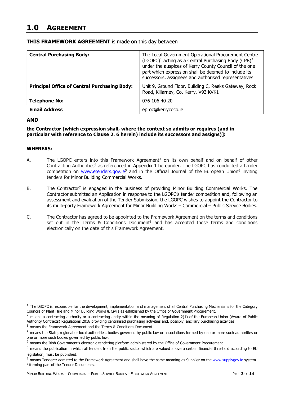## 1.0 AGREEMENT

| <b>Central Purchasing Body:</b>                     | The Local Government Operational Procurement Centre<br>(LGOPC) <sup>1</sup> acting as a Central Purchasing Body (CPB) <sup>2</sup><br>under the auspices of Kerry County Council of the one<br>part which expression shall be deemed to include its<br>successors, assignees and authorised representatives. |  |  |  |
|-----------------------------------------------------|--------------------------------------------------------------------------------------------------------------------------------------------------------------------------------------------------------------------------------------------------------------------------------------------------------------|--|--|--|
| <b>Principal Office of Central Purchasing Body:</b> | Unit 9, Ground Floor, Building C, Reeks Gateway, Rock<br>Road, Killarney, Co. Kerry, V93 KVK1                                                                                                                                                                                                                |  |  |  |
| <b>Telephone No:</b>                                | 076 106 40 20                                                                                                                                                                                                                                                                                                |  |  |  |
| <b>Email Address</b>                                | eproc@kerrycoco.ie                                                                                                                                                                                                                                                                                           |  |  |  |

#### **THIS FRAMEWORK AGREEMENT** is made on this day between

#### AND

the Contractor [which expression shall, where the context so admits or requires (and in particular with reference to Clause 2. 6 herein) include its successors and assigns)]:

#### WHEREAS:

- A. The LGOPC enters into this Framework Agreement<sup>3</sup> on its own behalf and on behalf of other Contracting Authorities<sup>4</sup> as referenced in Appendix 1 hereunder. The LGOPC has conducted a tender competition on **www.etenders.gov.ie**<sup>5</sup> and in the Official Journal of the European Union<sup>6</sup> inviting tenders for Minor Building Commercial Works.
- B. The Contractor<sup>7</sup> is engaged in the business of providing Minor Building Commercial Works. The Contractor submitted an Application in response to the LGOPC's tender competition and, following an assessment and evaluation of the Tender Submission, the LGOPC wishes to appoint the Contractor to its multi-party Framework Agreement for Minor Building Works – Commercial – Public Service Bodies.
- C. The Contractor has agreed to be appointed to the Framework Agreement on the terms and conditions set out in the Terms & Conditions Document<sup>8</sup> and has accepted those terms and conditions electronically on the date of this Framework Agreement.

 $1$  The LGOPC is responsible for the development, implementation and management of all Central Purchasing Mechanisms for the Category Councils of Plant Hire and Minor Building Works & Civils as established by the Office of Government Procurement.

 $<sup>2</sup>$  means a contracting authority or a contracting entity within the meaning of Regulation 2(1) of the European Union (Award of Public</sup> Authority Contracts) Regulations 2016 providing centralised purchasing activities and, possibly, ancillary purchasing activities.

<sup>3</sup> means the Framework Agreement and the Terms & Conditions Document.

<sup>4</sup> means the State, regional or local authorities, bodies governed by public law or associations formed by one or more such authorities or one or more such bodies governed by public law.

<sup>5</sup> means the Irish Government's electronic tendering platform administered by the Office of Government Procurement.

 $6$  means the publication in which all tenders from the public sector which are valued above a certain financial threshold according to EU legislation, must be published.

 $<sup>7</sup>$  means Tenderer admitted to the Framework Agreement and shall have the same meaning as Supplier on the www.supplygov.ie system.</sup> 8 forming part of the Tender Documents.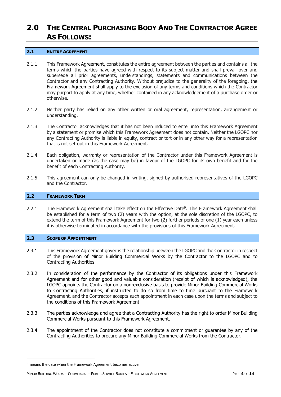## 2.0 THE CENTRAL PURCHASING BODY AND THE CONTRACTOR AGREE AS FOLLOWS:

#### 2.1 ENTIRE AGREEMENT

- 2.1.1 This Framework Agreement, constitutes the entire agreement between the parties and contains all the terms which the parties have agreed with respect to its subject matter and shall prevail over and supersede all prior agreements, understandings, statements and communications between the Contractor and any Contracting Authority. Without prejudice to the generality of the foregoing, the Framework Agreement shall apply to the exclusion of any terms and conditions which the Contractor may purport to apply at any time, whether contained in any acknowledgement of a purchase order or otherwise.
- 2.1.2 Neither party has relied on any other written or oral agreement, representation, arrangement or understanding.
- 2.1.3 The Contractor acknowledges that it has not been induced to enter into this Framework Agreement by a statement or promise which this Framework Agreement does not contain. Neither the LGOPC nor any Contracting Authority is liable in equity, contract or tort or in any other way for a representation that is not set out in this Framework Agreement.
- 2.1.4 Each obligation, warranty or representation of the Contractor under this Framework Agreement is undertaken or made (as the case may be) in favour of the LGOPC for its own benefit and for the benefit of each Contracting Authority.
- 2.1.5 This agreement can only be changed in writing, signed by authorised representatives of the LGOPC and the Contractor.

#### 2.2 FRAMEWORK TERM

2.2.1 The Framework Agreement shall take effect on the Effective Date<sup>9</sup>. This Framework Agreement shall be established for a term of two (2) years with the option, at the sole discretion of the LGOPC, to extend the term of this Framework Agreement for two (2) further periods of one (1) year each unless it is otherwise terminated in accordance with the provisions of this Framework Agreement.

#### 2.3 SCOPE OF APPOINTMENT

- 2.3.1 This Framework Agreement governs the relationship between the LGOPC and the Contractor in respect of the provision of Minor Building Commercial Works by the Contractor to the LGOPC and to Contracting Authorities.
- 2.3.2 In consideration of the performance by the Contractor of its obligations under this Framework Agreement and for other good and valuable consideration (receipt of which is acknowledged), the LGOPC appoints the Contractor on a non-exclusive basis to provide Minor Building Commercial Works to Contracting Authorities, if instructed to do so from time to time pursuant to the Framework Agreement, and the Contractor accepts such appointment in each case upon the terms and subject to the conditions of this Framework Agreement.
- 2.3.3 The parties acknowledge and agree that a Contracting Authority has the right to order Minor Building Commercial Works pursuant to this Framework Agreement.
- 2.3.4 The appointment of the Contractor does not constitute a commitment or guarantee by any of the Contracting Authorities to procure any Minor Building Commercial Works from the Contractor.

 $9$  means the date when the Framework Agreement becomes active.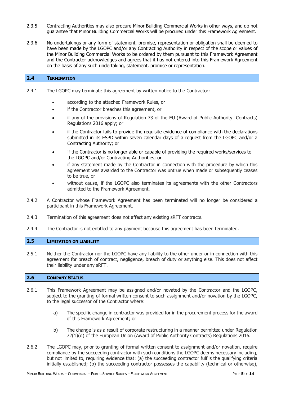- 2.3.5 Contracting Authorities may also procure Minor Building Commercial Works in other ways, and do not guarantee that Minor Building Commercial Works will be procured under this Framework Agreement.
- 2.3.6 No undertakings or any form of statement, promise, representation or obligation shall be deemed to have been made by the LGOPC and/or any Contracting Authority in respect of the scope or values of the Minor Building Commercial Works to be ordered by them pursuant to this Framework Agreement and the Contractor acknowledges and agrees that it has not entered into this Framework Agreement on the basis of any such undertaking, statement, promise or representation.

#### 2.4 TERMINATION

- 2.4.1 The LGOPC may terminate this agreement by written notice to the Contractor:
	- according to the attached Framework Rules, or
	- if the Contractor breaches this agreement, or
	- if any of the provisions of Regulation 73 of the EU (Award of Public Authority Contracts) Regulations 2016 apply; or
	- if the Contractor fails to provide the requisite evidence of compliance with the declarations submitted in its ESPD within seven calendar days of a request from the LGOPC and/or a Contracting Authority; or
	- if the Contractor is no longer able or capable of providing the required works/services to the LGOPC and/or Contracting Authorities; or
	- if any statement made by the Contractor in connection with the procedure by which this agreement was awarded to the Contractor was untrue when made or subsequently ceases to be true, or
	- without cause, if the LGOPC also terminates its agreements with the other Contractors admitted to the Framework Agreement.
- 2.4.2 A Contractor whose Framework Agreement has been terminated will no longer be considered a participant in this Framework Agreement.
- 2.4.3 Termination of this agreement does not affect any existing sRFT contracts.
- 2.4.4 The Contractor is not entitled to any payment because this agreement has been terminated.

#### 2.5 **LIMITATION ON LIABILITY**

2.5.1 Neither the Contractor nor the LGOPC have any liability to the other under or in connection with this agreement for breach of contract, negligence, breach of duty or anything else. This does not affect their liability under any sRFT.

#### 2.6 COMPANY STATUS

- 2.6.1 This Framework Agreement may be assigned and/or novated by the Contractor and the LGOPC, subject to the granting of formal written consent to such assignment and/or novation by the LGOPC, to the legal successor of the Contractor where:
	- a) The specific change in contractor was provided for in the procurement process for the award of this Framework Agreement; or
	- b) The change is as a result of corporate restructuring in a manner permitted under Regulation 72(1)(d) of the European Union (Award of Public Authority Contracts) Regulations 2016.
- 2.6.2 The LGOPC may, prior to granting of formal written consent to assignment and/or novation, require compliance by the succeeding contractor with such conditions the LGOPC deems necessary including, but not limited to, requiring evidence that: (a) the succeeding contractor fulfils the qualifying criteria initially established; (b) the succeeding contractor possesses the capability (technical or otherwise),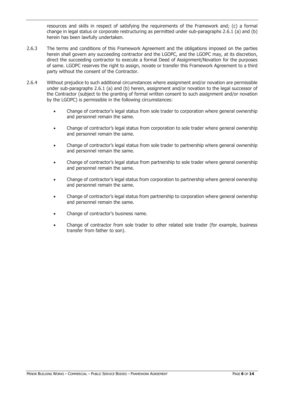resources and skills in respect of satisfying the requirements of the Framework and; (c) a formal change in legal status or corporate restructuring as permitted under sub-paragraphs 2.6.1 (a) and (b) herein has been lawfully undertaken.

- 2.6.3 The terms and conditions of this Framework Agreement and the obligations imposed on the parties herein shall govern any succeeding contractor and the LGOPC, and the LGOPC may, at its discretion, direct the succeeding contractor to execute a formal Deed of Assignment/Novation for the purposes of same. LGOPC reserves the right to assign, novate or transfer this Framework Agreement to a third party without the consent of the Contractor.
- 2.6.4 Without prejudice to such additional circumstances where assignment and/or novation are permissible under sub-paragraphs 2.6.1 (a) and (b) herein, assignment and/or novation to the legal successor of the Contractor (subject to the granting of formal written consent to such assignment and/or novation by the LGOPC) is permissible in the following circumstances:
	- Change of contractor's legal status from sole trader to corporation where general ownership and personnel remain the same.
	- Change of contractor's legal status from corporation to sole trader where general ownership and personnel remain the same.
	- Change of contractor's legal status from sole trader to partnership where general ownership and personnel remain the same.
	- Change of contractor's legal status from partnership to sole trader where general ownership and personnel remain the same.
	- Change of contractor's legal status from corporation to partnership where general ownership and personnel remain the same.
	- Change of contractor's legal status from partnership to corporation where general ownership and personnel remain the same.
	- Change of contractor's business name.
	- Change of contractor from sole trader to other related sole trader (for example, business transfer from father to son).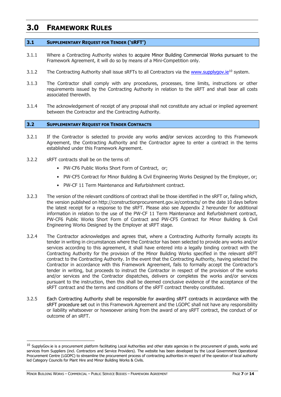### 3.0 FRAMEWORK RULES

#### 3.1 SUPPLEMENTARY REQUEST FOR TENDER ('SRFT')

- 3.1.1 Where a Contracting Authority wishes to acquire Minor Building Commercial Works pursuant to the Framework Agreement, it will do so by means of a Mini-Competition only.
- 3.1.2 The Contracting Authority shall issue sRFTs to all Contractors via the www.supplygov.ie<sup>10</sup> system.
- 3.1.3 The Contractor shall comply with any procedures, processes, time limits, instructions or other requirements issued by the Contracting Authority in relation to the sRFT and shall bear all costs associated therewith.
- 3.1.4 The acknowledgement of receipt of any proposal shall not constitute any actual or implied agreement between the Contractor and the Contracting Authority.

#### 3.2 SUPPLEMENTARY REQUEST FOR TENDER CONTRACTS

- 3.2.1 If the Contractor is selected to provide any works and/or services according to this Framework Agreement, the Contracting Authority and the Contractor agree to enter a contract in the terms established under this Framework Agreement.
- 3.2.2 sRFT contracts shall be on the terms of:
	- PW-CF6 Public Works Short Form of Contract, or;
	- PW-CF5 Contract for Minor Building & Civil Engineering Works Designed by the Employer, or;
	- PW-CF 11 Term Maintenance and Refurbishment contract.
- 3.2.3 The version of the relevant conditions of contract shall be those identified in the sRFT or, failing which, the version published on http://constructionprocurement.gov.ie/contracts/ on the date 10 days before the latest receipt for a response to the sRFT. Please also see Appendix 2 hereunder for additional information in relation to the use of the PW-CF 11 Term Maintenance and Refurbishment contract, PW-CF6 Public Works Short Form of Contract and PW-CF5 Contract for Minor Building & Civil Engineering Works Designed by the Employer at sRFT stage.
- 3.2.4 The Contractor acknowledges and agrees that, where a Contracting Authority formally accepts its tender in writing in circumstances where the Contractor has been selected to provide any works and/or services according to this agreement, it shall have entered into a legally binding contract with the Contracting Authority for the provision of the Minor Building Works specified in the relevant sRFT contract to the Contracting Authority. In the event that the Contracting Authority, having selected the Contractor in accordance with this Framework Agreement, fails to formally accept the Contractor's tender in writing, but proceeds to instruct the Contractor in respect of the provision of the works and/or services and the Contractor dispatches, delivers or completes the works and/or services pursuant to the instruction, then this shall be deemed conclusive evidence of the acceptance of the sRFT contract and the terms and conditions of the sRFT contract thereby constituted.
- 3.2.5 Each Contracting Authority shall be responsible for awarding sRFT contracts in accordance with the sRFT procedure set out in this Framework Agreement and the LGOPC shall not have any responsibility or liability whatsoever or howsoever arising from the award of any sRFT contract, the conduct of or outcome of an sRFT.

 $10$  SupplyGov.ie is a procurement platform facilitating Local Authorities and other state agencies in the procurement of goods, works and services from Suppliers (incl. Contractors and Service Providers). The website has been developed by the Local Government Operational Procurement Centre (LGOPC) to streamline the procurement process of contracting authorities in respect of the operation of local authority led Category Councils for Plant Hire and Minor Building Works & Civils.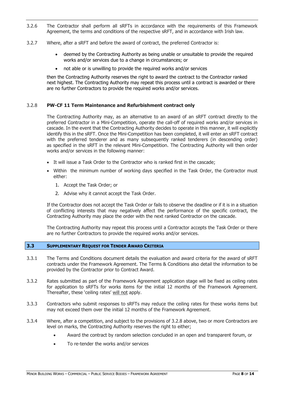- 3.2.6 The Contractor shall perform all sRFTs in accordance with the requirements of this Framework Agreement, the terms and conditions of the respective sRFT, and in accordance with Irish law.
- 3.2.7 Where, after a sRFT and before the award of contract, the preferred Contractor is:
	- deemed by the Contracting Authority as being unable or unsuitable to provide the required works and/or services due to a change in circumstances; or
	- not able or is unwilling to provide the required works and/or services

then the Contracting Authority reserves the right to award the contract to the Contractor ranked next highest. The Contracting Authority may repeat this process until a contract is awarded or there are no further Contractors to provide the required works and/or services.

#### 3.2.8 PW-CF 11 Term Maintenance and Refurbishment contract only

The Contracting Authority may, as an alternative to an award of an sRFT contract directly to the preferred Contractor in a Mini-Competition, operate the call-off of required works and/or services in cascade. In the event that the Contracting Authority decides to operate in this manner, it will explicitly identify this in the sRFT. Once the Mini-Competition has been completed, it will enter an sRFT contract with the preferred tenderer and as many subsequently ranked tenderers (in descending order) as specified in the sRFT in the relevant Mini-Competition. The Contracting Authority will then order works and/or services in the following manner:

- It will issue a Task Order to the Contractor who is ranked first in the cascade;
- Within the minimum number of working days specified in the Task Order, the Contractor must either:
	- 1. Accept the Task Order; or
	- 2. Advise why it cannot accept the Task Order.

If the Contractor does not accept the Task Order or fails to observe the deadline or if it is in a situation of conflicting interests that may negatively affect the performance of the specific contract, the Contracting Authority may place the order with the next ranked Contractor on the cascade.

The Contracting Authority may repeat this process until a Contractor accepts the Task Order or there are no further Contractors to provide the required works and/or services.

#### 3.3 SUPPLEMENTARY REQUEST FOR TENDER AWARD CRITERIA

- 3.3.1 The Terms and Conditions document details the evaluation and award criteria for the award of sRFT contracts under the Framework Agreement. The Terms & Conditions also detail the information to be provided by the Contractor prior to Contract Award.
- 3.3.2 Rates submitted as part of the Framework Agreement application stage will be fixed as ceiling rates for application to sRFTs for works items for the initial 12 months of the Framework Agreement. Thereafter, these 'ceiling rates' will not apply.
- 3.3.3 Contractors who submit responses to sRFTs may reduce the ceiling rates for these works items but may not exceed them over the initial 12 months of the Framework Agreement.
- 3.3.4 Where, after a competition, and subject to the provisions of 3.2.8 above, two or more Contractors are level on marks, the Contracting Authority reserves the right to either;
	- Award the contract by random selection concluded in an open and transparent forum, or
	- To re-tender the works and/or services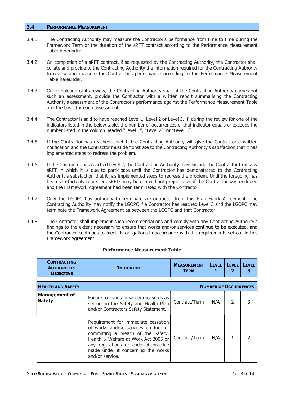#### 3.4 PERFORMANCE MEASUREMENT

- 3.4.1 The Contracting Authority may measure the Contractor's performance from time to time during the Framework Term or the duration of the sRFT contract according to the Performance Measurement Table hereunder.
- 3.4.2 On completion of a sRFT contract, if so requested by the Contracting Authority, the Contractor shall collate and provide to the Contracting Authority the information required for the Contracting Authority to review and measure the Contractor's performance according to the Performance Measurement Table hereunder.
- 3.4.3 On completion of its review, the Contracting Authority shall, if the Contracting Authority carries out such an assessment, provide the Contractor with a written report summarising the Contracting Authority's assessment of the Contractor's performance against the Performance Measurement Table and the basis for each assessment.
- 3.4.4 The Contractor is said to have reached Level 1, Level 2 or Level 3, if, during the review for one of the indicators listed in the below table, the number of occurrences of that indicator equals or exceeds the number listed in the column headed "Level 1", "Level 2", or "Level 3".
- 3.4.5 If the Contractor has reached Level 1, the Contracting Authority will give the Contractor a written notification and the Contractor must demonstrate to the Contracting Authority's satisfaction that it has implemented steps to redress the problem.
- 3.4.6 If the Contractor has reached Level 2, the Contracting Authority may exclude the Contractor from any sRFT in which it is due to participate until the Contractor has demonstrated to the Contracting Authority's satisfaction that it has implemented steps to redress the problem. Until the foregoing has been satisfactorily remedied, sRFTs may be run without prejudice as if the Contractor was excluded and the Framework Agreement had been terminated with the Contractor.
- 3.4.7 Only the LGOPC has authority to terminate a Contractor from this Framework Agreement. The Contracting Authority may notify the LGOPC if a Contractor has reached Level 3 and the LGOPC may terminate the Framework Agreement as between the LGOPC and that Contractor.
- 3.4.8 The Contractor shall implement such recommendations and comply with any Contracting Authority's findings to the extent necessary to ensure that works and/or services continue to be executed, and the Contractor continues to meet its obligations in accordance with the requirements set out in this Framework Agreement.

| <b>Performance Measurement Table</b> |  |
|--------------------------------------|--|
|                                      |  |

| <b>CONTRACTING</b><br><b>AUTHORITIES</b><br><b>OBJECTIVE</b> | <b>INDICATOR</b>                                                                                                                                                                                                                                         | <b>MEASUREMENT</b><br><b>TERM</b> | <b>LEVEL</b><br>1            | <b>LEVEL</b><br>2 | <b>LEVEL</b> |
|--------------------------------------------------------------|----------------------------------------------------------------------------------------------------------------------------------------------------------------------------------------------------------------------------------------------------------|-----------------------------------|------------------------------|-------------------|--------------|
| <b>HEALTH AND SAFETY</b>                                     |                                                                                                                                                                                                                                                          |                                   | <b>NUMBER OF OCCURRENCES</b> |                   |              |
| <b>Management of</b><br><b>Safety</b>                        | Failure to maintain safety measures as<br>set out in the Safety and Health Plan<br>and/or Contractors Safety Statement.                                                                                                                                  | Contract/Term                     | N/A                          | 2                 |              |
|                                                              | Requirement for immediate cessation<br>of works and/or services on foot of<br>committing a breach of the Safety,<br>Health & Welfare at Work Act 2005 or<br>any regulations or code of practice<br>made under it concerning the works<br>and/or service. | Contract/Term                     | N/A                          |                   |              |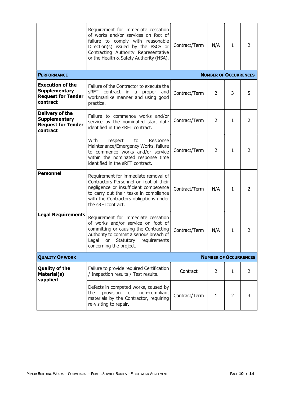|                                                                                          | Requirement for immediate cessation<br>of works and/or services on foot of<br>failure to comply with reasonable<br>Direction(s) issued by the PSCS or<br>Contracting Authority Representative<br>or the Health & Safety Authority (HSA). | Contract/Term | N/A                          | 1            | 2              |
|------------------------------------------------------------------------------------------|------------------------------------------------------------------------------------------------------------------------------------------------------------------------------------------------------------------------------------------|---------------|------------------------------|--------------|----------------|
| <b>PERFORMANCE</b>                                                                       |                                                                                                                                                                                                                                          |               | <b>NUMBER OF OCCURRENCES</b> |              |                |
| <b>Execution of the</b><br><b>Supplementary</b><br><b>Request for Tender</b><br>contract | Failure of the Contractor to execute the<br>sRFT contract in a proper<br>and<br>workmanlike manner and using good<br>practice.                                                                                                           | Contract/Term | $\overline{2}$               | 3            | 5              |
| Delivery of the<br><b>Supplementary</b><br><b>Request for Tender</b><br>contract         | Failure to commence works and/or<br>service by the nominated start date<br>identified in the sRFT contract.                                                                                                                              | Contract/Term | 2                            | $\mathbf{1}$ | 2              |
|                                                                                          | With<br>respect<br>to<br>Response<br>Maintenance/Emergency Works, failure<br>to commence works and/or service<br>within the nominated response time<br>identified in the sRFT contract.                                                  | Contract/Term | $\overline{2}$               | 1            | 2              |
| <b>Personnel</b>                                                                         | Requirement for immediate removal of<br>Contractors Personnel on foot of their<br>negligence or insufficient competence<br>to carry out their tasks in compliance<br>with the Contractors obligations under<br>the sRFTcontract.         | Contract/Term | N/A                          | $\mathbf{1}$ | 2              |
| <b>Legal Requirements</b>                                                                | Requirement for immediate cessation<br>of works and/or service on foot of<br>committing or causing the Contracting<br>Authority to commit a serious breach of<br>Legal<br>or<br>Statutory<br>requirements<br>concerning the project.     | Contract/Term | N/A                          | 1            | 2              |
| <b>QUALITY OF WORK</b>                                                                   | <b>NUMBER OF OCCURRENCES</b>                                                                                                                                                                                                             |               |                              |              |                |
| <b>Quality of the</b><br>Material(s)<br>supplied                                         | Failure to provide required Certification<br>/ Inspection results / Test results.                                                                                                                                                        | Contract      | 2                            | 1            | $\overline{2}$ |
|                                                                                          | Defects in competed works, caused by<br>provision<br>of<br>non-compliant<br>the<br>materials by the Contractor, requiring<br>re-visiting to repair.                                                                                      | Contract/Term | 1                            | 2            | 3              |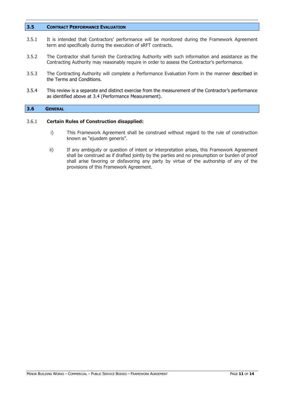#### 3.5 CONTRACT PERFORMANCE EVALUATION

- 3.5.1 It is intended that Contractors' performance will be monitored during the Framework Agreement term and specifically during the execution of sRFT contracts.
- 3.5.2 The Contractor shall furnish the Contracting Authority with such information and assistance as the Contracting Authority may reasonably require in order to assess the Contractor's performance.
- 3.5.3 The Contracting Authority will complete a Performance Evaluation Form in the manner described in the Terms and Conditions.
- 3.5.4 This review is a separate and distinct exercise from the measurement of the Contractor's performance as identified above at 3.4 (Performance Measurement).

#### 3.6 GENERAL

#### 3.6.1 Certain Rules of Construction disapplied:

- i) This Framework Agreement shall be construed without regard to the rule of construction known as "ejusdem generis".
- ii) If any ambiguity or question of intent or interpretation arises, this Framework Agreement shall be construed as if drafted jointly by the parties and no presumption or burden of proof shall arise favoring or disfavoring any party by virtue of the authorship of any of the provisions of this Framework Agreement.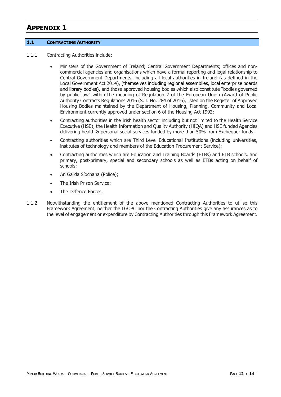## APPENDIX 1

#### 1.1 CONTRACTING AUTHORITY

- 1.1.1 Contracting Authorities include:
	- Ministers of the Government of Ireland; Central Government Departments; offices and noncommercial agencies and organisations which have a formal reporting and legal relationship to Central Government Departments, including all local authorities in Ireland (as defined in the Local Government Act 2014), (themselves including regional assemblies, local enterprise boards and library bodies), and those approved housing bodies which also constitute "bodies governed by public law" within the meaning of Regulation 2 of the European Union (Award of Public Authority Contracts Regulations 2016 (S. I. No. 284 of 2016), listed on the Register of Approved Housing Bodies maintained by the Department of Housing, Planning, Community and Local Environment currently approved under section 6 of the Housing Act 1992;
	- Contracting authorities in the Irish health sector including but not limited to the Health Service Executive (HSE); the Health Information and Quality Authority (HIQA) and HSE funded Agencies delivering health & personal social services funded by more than 50% from Exchequer funds;
	- Contracting authorities which are Third Level Educational Institutions (including universities, institutes of technology and members of the Education Procurement Service);
	- Contracting authorities which are Education and Training Boards (ETBs) and ETB schools, and primary, post-primary, special and secondary schools as well as ETBs acting on behalf of schools;
	- An Garda Síochana (Police);
	- The Irish Prison Service;
	- The Defence Forces.
- 1.1.2 Notwithstanding the entitlement of the above mentioned Contracting Authorities to utilise this Framework Agreement, neither the LGOPC nor the Contracting Authorities give any assurances as to the level of engagement or expenditure by Contracting Authorities through this Framework Agreement.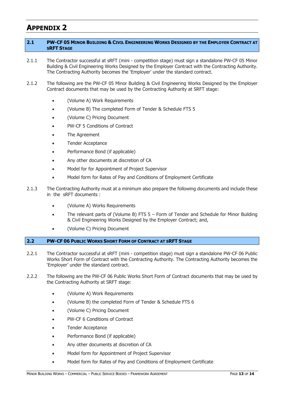## APPENDIX 2

#### 2.1 PW-CF 05 MINOR BUILDING & CIVIL ENGINEERING WORKS DESIGNED BY THE EMPLOYER CONTRACT AT SRFT STAGE

- 2.1.1 The Contractor successful at sRFT (mini competition stage) must sign a standalone PW-CF 05 Minor Building & Civil Engineering Works Designed by the Employer Contract with the Contracting Authority. The Contracting Authority becomes the 'Employer' under the standard contract.
- 2.1.2 The following are the PW-CF 05 Minor Building & Civil Engineering Works Designed by the Employer Contract documents that may be used by the Contracting Authority at SRFT stage:
	- (Volume A) Work Requirements
	- (Volume B) The completed Form of Tender & Schedule FTS 5
	- (Volume C) Pricing Document
	- PW-CF 5 Conditions of Contract
	- The Agreement
	- Tender Acceptance
	- Performance Bond (if applicable)
	- Any other documents at discretion of CA
	- Model for for Appointment of Project Supervisor
	- Model form for Rates of Pay and Conditions of Employment Certificate
- 2.1.3 The Contracting Authority must at a minimum also prepare the following documents and include these in the sRFT documents :
	- (Volume A) Works Requirements
	- The relevant parts of (Volume B) FTS 5 Form of Tender and Schedule for Minor Building & Civil Engineering Works Designed by the Employer Contract; and,
	- (Volume C) Pricing Document

#### 2.2 PW-CF 06 PUBLIC WORKS SHORT FORM OF CONTRACT AT SRFT STAGE

- 2.2.1 The Contractor successful at sRFT (mini competition stage) must sign a standalone PW-CF 06 Public Works Short Form of Contract with the Contracting Authority. The Contracting Authority becomes the 'Employer' under the standard contract.
- 2.2.2 The following are the PW-CF 06 Public Works Short Form of Contract documents that may be used by the Contracting Authority at SRFT stage:
	- (Volume A) Work Requirements
	- (Volume B) the completed Form of Tender & Schedule FTS 6
	- (Volume C) Pricing Document
	- PW-CF 6 Conditions of Contract
	- Tender Acceptance
	- Performance Bond (if applicable)
	- Any other documents at discretion of CA
	- Model form for Appointment of Project Supervisor
	- Model form for Rates of Pay and Conditions of Employment Certificate